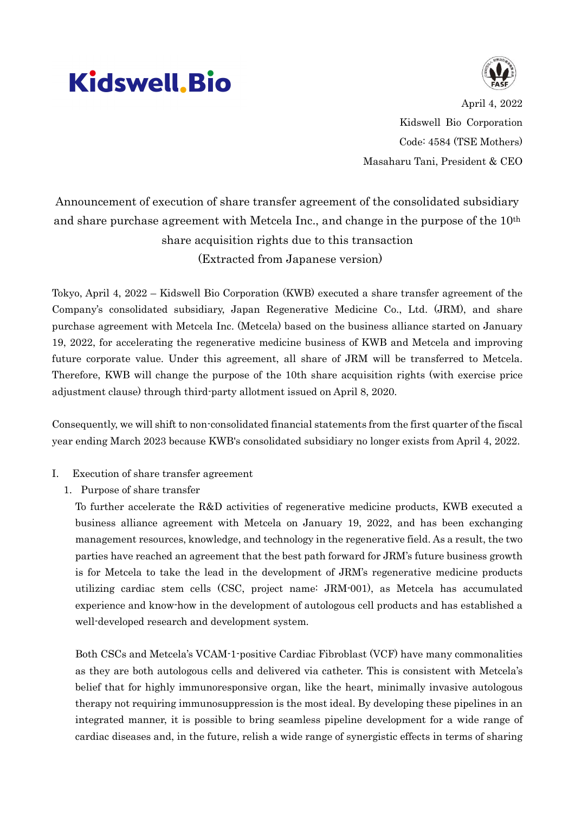# **Kidswell Bio**



April 4, 2022 Kidswell Bio Corporation Code: 4584 (TSE Mothers) Masaharu Tani, President & CEO

Announcement of execution of share transfer agreement of the consolidated subsidiary and share purchase agreement with Metcela Inc., and change in the purpose of the 10<sup>th</sup> share acquisition rights due to this transaction (Extracted from Japanese version)

Tokyo, April 4, 2022 – Kidswell Bio Corporation (KWB) executed a share transfer agreement of the Company's consolidated subsidiary, Japan Regenerative Medicine Co., Ltd. (JRM), and share purchase agreement with Metcela Inc. (Metcela) based on the business alliance started on January 19, 2022, for accelerating the regenerative medicine business of KWB and Metcela and improving future corporate value. Under this agreement, all share of JRM will be transferred to Metcela. Therefore, KWB will change the purpose of the 10th share acquisition rights (with exercise price adjustment clause) through third-party allotment issued on April 8, 2020.

Consequently, we will shift to non-consolidated financial statements from the first quarter of the fiscal year ending March 2023 because KWB's consolidated subsidiary no longer exists from April 4, 2022.

- I. Execution of share transfer agreement
	- 1. Purpose of share transfer

To further accelerate the R&D activities of regenerative medicine products, KWB executed a business alliance agreement with Metcela on January 19, 2022, and has been exchanging management resources, knowledge, and technology in the regenerative field. As a result, the two parties have reached an agreement that the best path forward for JRM's future business growth is for Metcela to take the lead in the development of JRM's regenerative medicine products utilizing cardiac stem cells (CSC, project name: JRM-001), as Metcela has accumulated experience and know-how in the development of autologous cell products and has established a well-developed research and development system.

Both CSCs and Metcela's VCAM-1-positive Cardiac Fibroblast (VCF) have many commonalities as they are both autologous cells and delivered via catheter. This is consistent with Metcela's belief that for highly immunoresponsive organ, like the heart, minimally invasive autologous therapy not requiring immunosuppression is the most ideal. By developing these pipelines in an integrated manner, it is possible to bring seamless pipeline development for a wide range of cardiac diseases and, in the future, relish a wide range of synergistic effects in terms of sharing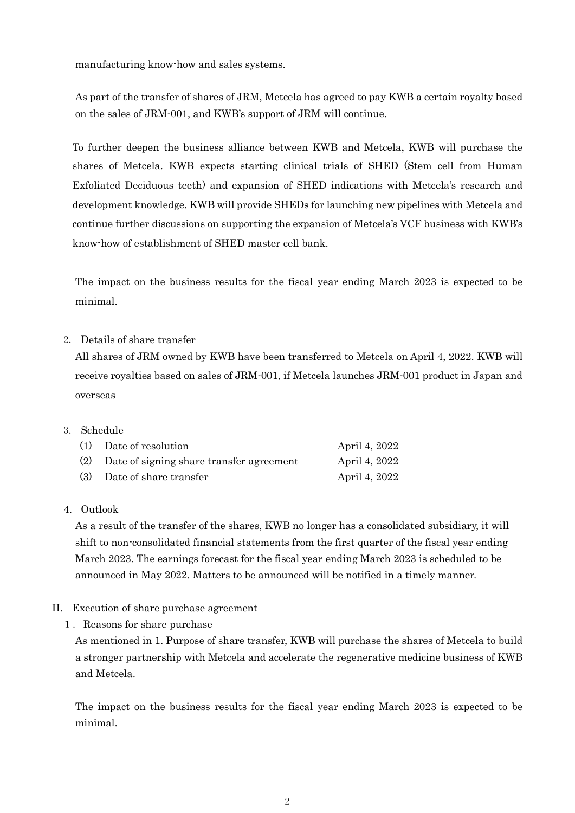manufacturing know-how and sales systems.

As part of the transfer of shares of JRM, Metcela has agreed to pay KWB a certain royalty based on the sales of JRM-001, and KWB's support of JRM will continue.

To further deepen the business alliance between KWB and Metcela, KWB will purchase the shares of Metcela. KWB expects starting clinical trials of SHED (Stem cell from Human Exfoliated Deciduous teeth) and expansion of SHED indications with Metcela's research and development knowledge. KWB will provide SHEDs for launching new pipelines with Metcela and continue further discussions on supporting the expansion of Metcela's VCF business with KWB's know-how of establishment of SHED master cell bank.

The impact on the business results for the fiscal year ending March 2023 is expected to be minimal.

## 2. Details of share transfer

All shares of JRM owned by KWB have been transferred to Metcela on April 4, 2022. KWB will receive royalties based on sales of JRM-001, if Metcela launches JRM-001 product in Japan and overseas

#### 3. Schedule

| (1) Date of resolution                       | April 4, 2022 |
|----------------------------------------------|---------------|
| (2) Date of signing share transfer agreement | April 4, 2022 |
| (3) Date of share transfer                   | April 4, 2022 |

## 4. Outlook

As a result of the transfer of the shares, KWB no longer has a consolidated subsidiary, it will shift to non-consolidated financial statements from the first quarter of the fiscal year ending March 2023. The earnings forecast for the fiscal year ending March 2023 is scheduled to be announced in May 2022. Matters to be announced will be notified in a timely manner.

- II. Execution of share purchase agreement
	- 1.Reasons for share purchase

As mentioned in 1. Purpose of share transfer, KWB will purchase the shares of Metcela to build a stronger partnership with Metcela and accelerate the regenerative medicine business of KWB and Metcela.

The impact on the business results for the fiscal year ending March 2023 is expected to be minimal.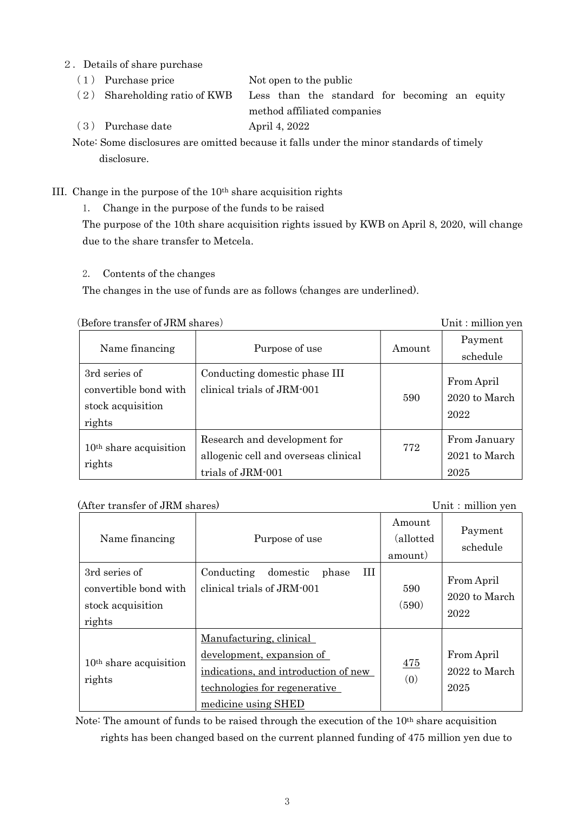## 2. Details of share purchase

(1) Purchase price Not open to the public

(2) Shareholding ratio of KWB Less than the standard for becoming an equity

method affiliated companies

(3) Purchase date April 4, 2022

 Note: Some disclosures are omitted because it falls under the minor standards of timely disclosure.

# III. Change in the purpose of the 10th share acquisition rights

1. Change in the purpose of the funds to be raised

The purpose of the 10th share acquisition rights issued by KWB on April 8, 2020, will change due to the share transfer to Metcela.

## 2. Contents of the changes

The changes in the use of funds are as follows (changes are underlined).

## (Before transfer of JRM shares)  $\qquad \qquad$  Unit: million yen

| Name financing                                                        | Purpose of use                                                                            | Amount | Payment<br>schedule                   |
|-----------------------------------------------------------------------|-------------------------------------------------------------------------------------------|--------|---------------------------------------|
| 3rd series of<br>convertible bond with<br>stock acquisition<br>rights | Conducting domestic phase III<br>clinical trials of JRM-001                               | 590    | From April<br>2020 to March<br>2022   |
| $10th$ share acquisition<br>rights                                    | Research and development for<br>allogenic cell and overseas clinical<br>trials of JRM-001 | 772    | From January<br>2021 to March<br>2025 |

## (After transfer of JRM shares) Unit: million yen

Name financing | Purpose of use Amount (allotted amount) Payment schedule 3rd series of convertible bond with stock acquisition rights Conducting domestic phase III clinical trials of JRM-001  $\qquad \qquad$  590 (590) From April 2020 to March 2022 10th share acquisition rights Manufacturing, clinical development, expansion of indications, and introduction of new technologies for regenerative medicine using SHED 475 (0) From April 2022 to March 2025

Note: The amount of funds to be raised through the execution of the 10<sup>th</sup> share acquisition rights has been changed based on the current planned funding of 475 million yen due to